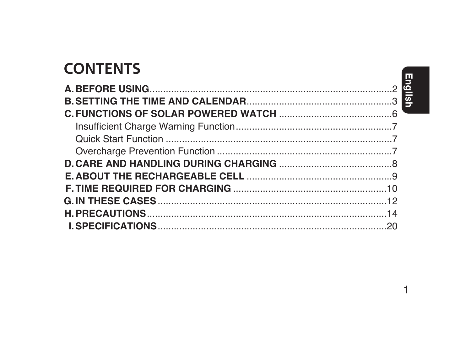# **CONTENTS**

| <b>LUNIENIJ</b> |  |
|-----------------|--|
|                 |  |
|                 |  |
|                 |  |
|                 |  |
|                 |  |
|                 |  |
|                 |  |
|                 |  |
|                 |  |
|                 |  |
|                 |  |
|                 |  |
|                 |  |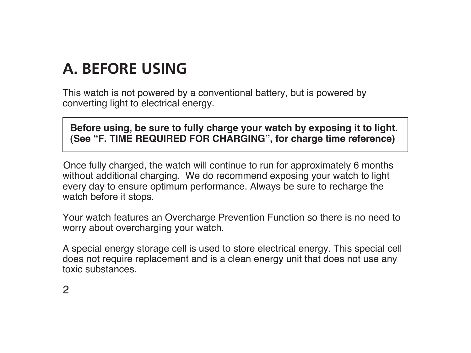# **A. BEFORE USING**

This watch is not powered by a conventional battery, but is powered by converting light to electrical energy.

**Before using, be sure to fully charge your watch by exposing it to light. (See "F. TIME REQUIRED FOR CHARGING", for charge time reference)**

Once fully charged, the watch will continue to run for approximately 6 months without additional charging. We do recommend exposing your watch to light every day to ensure optimum performance. Always be sure to recharge the watch before it stops.

Your watch features an Overcharge Prevention Function so there is no need to worry about overcharging your watch.

A special energy storage cell is used to store electrical energy. This special cell does not require replacement and is a clean energy unit that does not use any toxic substances.

 $\mathfrak{p}$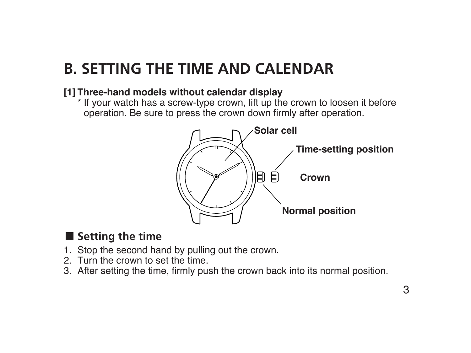## **B. SETTING THE TIME AND CALENDAR**

#### **[1] Three-hand models without calendar display**

\* If your watch has a screw-type crown, lift up the crown to loosen it before operation. Be sure to press the crown down firmly after operation.



### **Setting the time**

- 1. Stop the second hand by pulling out the crown.
- 2. Turn the crown to set the time.
- 3. After setting the time, firmly push the crown back into its normal position.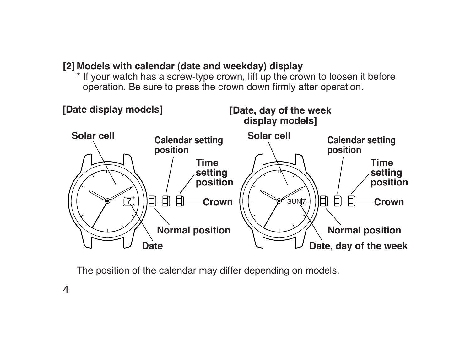### **[2] Models with calendar (date and weekday) display**

\* If your watch has a screw-type crown, lift up the crown to loosen it before operation. Be sure to press the crown down firmly after operation.



The position of the calendar may differ depending on models.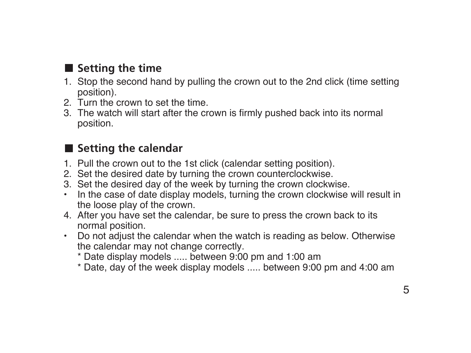### ■ Setting the time

- 1. Stop the second hand by pulling the crown out to the 2nd click (time setting position).
- 2. Turn the crown to set the time.
- 3. The watch will start after the crown is firmly pushed back into its normal position.

### **Setting the calendar**

- 1. Pull the crown out to the 1st click (calendar setting position).
- 2. Set the desired date by turning the crown counterclockwise.
- 3. Set the desired day of the week by turning the crown clockwise.
- In the case of date display models, turning the crown clockwise will result in the loose play of the crown.
- 4. After you have set the calendar, be sure to press the crown back to its normal position.
- Do not adjust the calendar when the watch is reading as below. Otherwise the calendar may not change correctly.
	- \* Date display models ..... between 9:00 pm and 1:00 am
	- \* Date, day of the week display models ..... between 9:00 pm and 4:00 am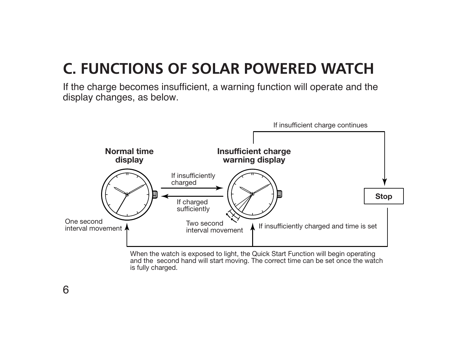# **C. FUNCTIONS OF SOLAR POWERED WATCH**

If the charge becomes insufficient, a warning function will operate and the display changes, as below.



When the watch is exposed to light, the Quick Start Function will begin operating and the second hand will start moving. The correct time can be set once the watch is fully charged.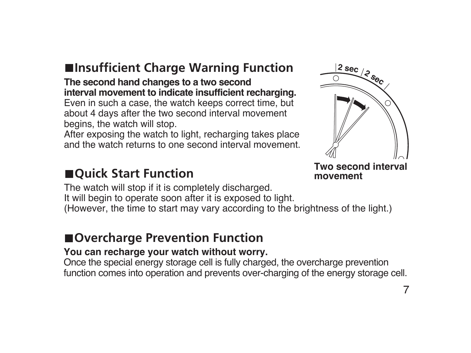### **Insufficient Charge Warning Function**

**The second hand changes to a two second interval movement to indicate insufficient recharging.** Even in such a case, the watch keeps correct time, but about 4 days after the two second interval movement begins, the watch will stop.

After exposing the watch to light, recharging takes place and the watch returns to one second interval movement.

## **■ Ouick Start Function**



**Two second interval movement**

The watch will stop if it is completely discharged.

It will begin to operate soon after it is exposed to light.

(However, the time to start may vary according to the brightness of the light.)

## **Overcharge Prevention Function**

### **You can recharge your watch without worry.**

Once the special energy storage cell is fully charged, the overcharge prevention function comes into operation and prevents over-charging of the energy storage cell.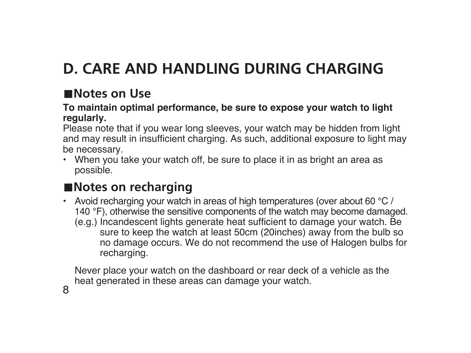# **D. CARE AND HANDLING DURING CHARGING**

## **Notes on Use**

#### **To maintain optimal performance, be sure to expose your watch to light regularly.**

Please note that if you wear long sleeves, your watch may be hidden from light and may result in insufficient charging. As such, additional exposure to light may be necessary.

• When you take your watch off, be sure to place it in as bright an area as possible.

## **Notes on recharging**

• Avoid recharging your watch in areas of high temperatures (over about 60  $\degree$ C / 140 °F), otherwise the sensitive components of the watch may become damaged. (e.g.) Incandescent lights generate heat sufficient to damage your watch. Be sure to keep the watch at least 50cm (20inches) away from the bulb so no damage occurs. We do not recommend the use of Halogen bulbs for recharging.

Never place your watch on the dashboard or rear deck of a vehicle as the heat generated in these areas can damage your watch.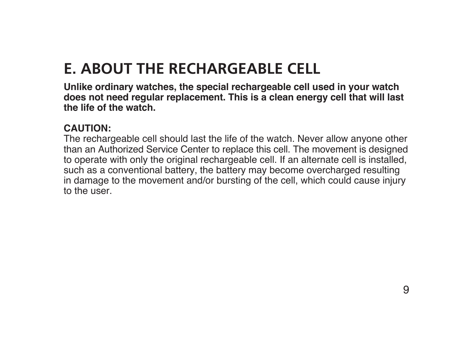# **E. ABOUT THE RECHARGEABLE CELL**

**Unlike ordinary watches, the special rechargeable cell used in your watch does not need regular replacement. This is a clean energy cell that will last the life of the watch.**

#### **CAUTION:**

The rechargeable cell should last the life of the watch. Never allow anyone other than an Authorized Service Center to replace this cell. The movement is designed to operate with only the original rechargeable cell. If an alternate cell is installed, such as a conventional battery, the battery may become overcharged resulting in damage to the movement and/or bursting of the cell, which could cause injury to the user.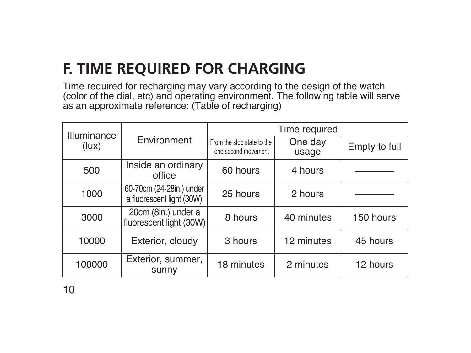# **F. TIME REQUIRED FOR CHARGING**

Time required for recharging may vary according to the design of the watch (color of the dial, etc) and operating environment. The following table will serve as an approximate reference: (Table of recharging)

| Illuminance<br>(lux) |                                                       | Time required                                     |                  |               |
|----------------------|-------------------------------------------------------|---------------------------------------------------|------------------|---------------|
|                      | Environment                                           | From the stop state to the<br>one second movement | One day<br>usage | Empty to full |
| 500                  | Inside an ordinary<br>office                          | 60 hours                                          | 4 hours          |               |
| 1000                 | 60-70cm (24-28in.) under<br>a fluorescent light (30W) | 25 hours                                          | 2 hours          |               |
| 3000                 | 20cm (8in.) under a<br>fluorescent light (30W)        | 8 hours                                           | 40 minutes       | 150 hours     |
| 10000                | Exterior, cloudy                                      | 3 hours                                           | 12 minutes       | 45 hours      |
| 100000               | Exterior, summer,<br>sunny                            | 18 minutes                                        | 2 minutes        | 12 hours      |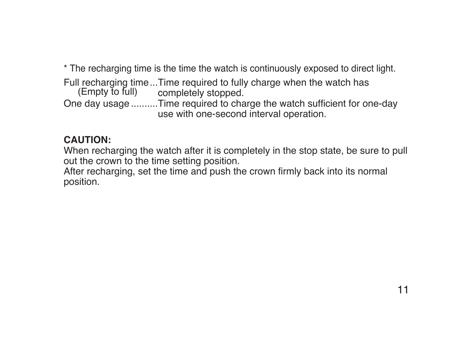\* The recharging time is the time the watch is continuously exposed to direct light.

Full recharging time...Time required to fully charge when the watch has (Empty to full) completely stopped.

One day usage ..........Time required to charge the watch sufficient for one-day use with one-second interval operation.

#### **CAUTION:**

When recharging the watch after it is completely in the stop state, be sure to pull out the crown to the time setting position.

After recharging, set the time and push the crown firmly back into its normal position.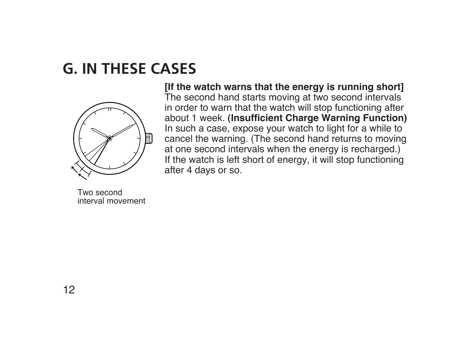## **G. IN THESE CASES**



**[If the watch warns that the energy is running short]** The second hand starts moving at two second intervals in order to warn that the watch will stop functioning after about 1 week. **(Insufficient Charge Warning Function)** In such a case, expose your watch to light for a while to cancel the warning. (The second hand returns to moving at one second intervals when the energy is recharged.) If the watch is left short of energy, it will stop functioning after 4 days or so.

Two second interval movement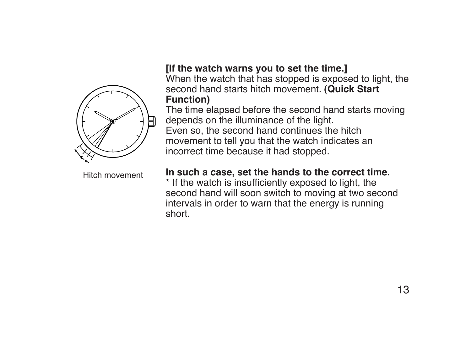

Hitch movement

#### **[If the watch warns you to set the time.]**

When the watch that has stopped is exposed to light, the second hand starts hitch movement. **(Quick Start Function)**

The time elapsed before the second hand starts moving depends on the illuminance of the light. Even so, the second hand continues the hitch movement to tell you that the watch indicates an incorrect time because it had stopped.

#### **In such a case, set the hands to the correct time.**

\* If the watch is insufficiently exposed to light, the second hand will soon switch to moving at two second intervals in order to warn that the energy is running short.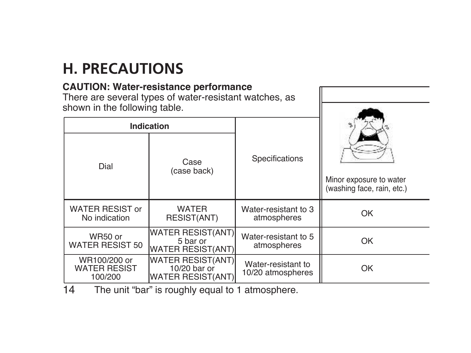# **H. PRECAUTIONS**

#### **CAUTION: Water-resistance performance**

There are several types of water-resistant watches, as shown in the following table.

| Indication                                     |                                                               |                                         |                                                       |
|------------------------------------------------|---------------------------------------------------------------|-----------------------------------------|-------------------------------------------------------|
| Dial                                           | Case<br>(case back)                                           | Specifications                          | Minor exposure to water<br>(washing face, rain, etc.) |
| WATER RESIST or<br>No indication               | <b>WATER</b><br>RESIST(ANT)                                   | Water-resistant to 3<br>atmospheres     | OK                                                    |
| WR50 or<br><b>WATER RESIST 50</b>              | WATER RESIST(ANT)<br>5 bar or<br>WATER RESIST(ANT)            | Water-resistant to 5<br>atmospheres     | OK                                                    |
| WR100/200 or<br><b>WATER RESIST</b><br>100/200 | <b>WATER RESIST(ANT)</b><br>10/20 bar or<br>WATER RESIST(ANT) | Water-resistant to<br>10/20 atmospheres | OK                                                    |

14 The unit "bar" is roughly equal to 1 atmosphere.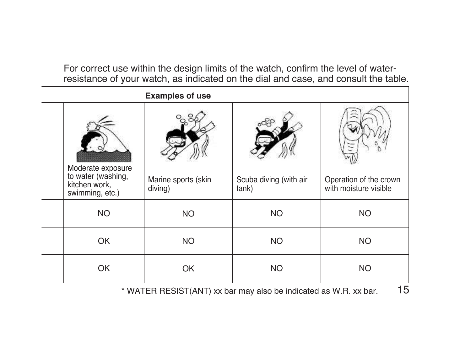For correct use within the design limits of the watch, confirm the level of waterresistance of your watch, as indicated on the dial and case, and consult the table.

| <b>Examples of use</b>                                                      |                                |                                 |                                                 |
|-----------------------------------------------------------------------------|--------------------------------|---------------------------------|-------------------------------------------------|
| Moderate exposure<br>to water (washing,<br>kitchen work,<br>swimming, etc.) | Marine sports (skin<br>diving) | Scuba diving (with air<br>tank) | Operation of the crown<br>with moisture visible |
| <b>NO</b>                                                                   | <b>NO</b>                      | <b>NO</b>                       | <b>NO</b>                                       |
| OK                                                                          | <b>NO</b>                      | <b>NO</b>                       | <b>NO</b>                                       |
| OK                                                                          | OK                             | <b>NO</b>                       | <b>NO</b>                                       |

15 \* WATER RESIST(ANT) xx bar may also be indicated as W.R. xx bar.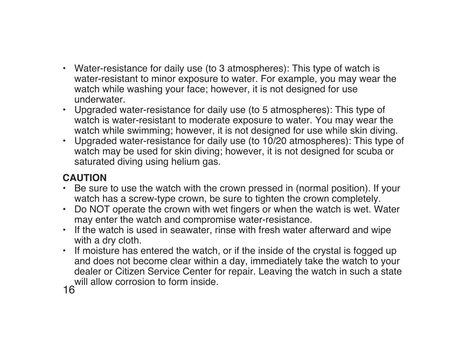- Water-resistance for daily use (to 3 atmospheres): This type of watch is water-resistant to minor exposure to water. For example, you may wear the watch while washing your face; however, it is not designed for use underwater.
- Upgraded water-resistance for daily use (to 5 atmospheres): This type of watch is water-resistant to moderate exposure to water. You may wear the watch while swimming; however, it is not designed for use while skin diving.
- $\cdot$  Upgraded water-resistance for daily use (to 10/20 atmospheres): This type of watch may be used for skin diving; however, it is not designed for scuba or saturated diving using helium gas.

### **CAUTION**

- Be sure to use the watch with the crown pressed in (normal position). If your watch has a screw-type crown, be sure to tighten the crown completely.
- Do NOT operate the crown with wet fingers or when the watch is wet. Water may enter the watch and compromise water-resistance.
- $\cdot$  If the watch is used in seawater, rinse with fresh water afterward and wipe with a dry cloth.
- $\cdot$  If moisture has entered the watch, or if the inside of the crystal is fogged up and does not become clear within a day, immediately take the watch to your dealer or Citizen Service Center for repair. Leaving the watch in such a state will allow corrosion to form inside. 16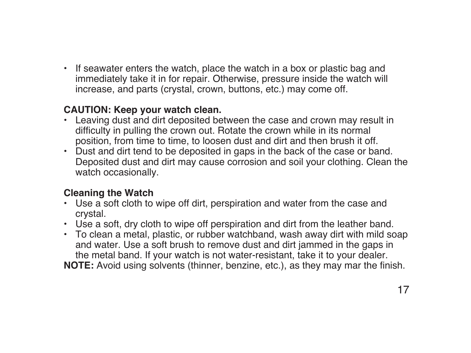• If seawater enters the watch, place the watch in a box or plastic bag and immediately take it in for repair. Otherwise, pressure inside the watch will increase, and parts (crystal, crown, buttons, etc.) may come off.

### **CAUTION: Keep your watch clean.**

- Leaving dust and dirt deposited between the case and crown may result in difficulty in pulling the crown out. Rotate the crown while in its normal position, from time to time, to loosen dust and dirt and then brush it off.
- Dust and dirt tend to be deposited in gaps in the back of the case or band. Deposited dust and dirt may cause corrosion and soil your clothing. Clean the watch occasionally.

### **Cleaning the Watch**

- Use a soft cloth to wipe off dirt, perspiration and water from the case and crystal.
- Use a soft, dry cloth to wipe off perspiration and dirt from the leather band.
- To clean a metal, plastic, or rubber watchband, wash away dirt with mild soap and water. Use a soft brush to remove dust and dirt jammed in the gaps in the metal band. If your watch is not water-resistant, take it to your dealer.

**NOTE:** Avoid using solvents (thinner, benzine, etc.), as they may mar the finish.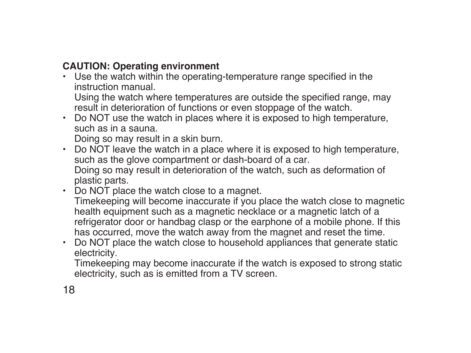### **CAUTION: Operating environment**

• Use the watch within the operating-temperature range specified in the instruction manual.

Using the watch where temperatures are outside the specified range, may result in deterioration of functions or even stoppage of the watch.

 $\cdot$  Do NOT use the watch in places where it is exposed to high temperature. such as in a sauna.

Doing so may result in a skin burn.

- $\cdot$  Do NOT leave the watch in a place where it is exposed to high temperature, such as the glove compartment or dash-board of a car. Doing so may result in deterioration of the watch, such as deformation of plastic parts.
- Do NOT place the watch close to a magnet. Timekeeping will become inaccurate if you place the watch close to magnetic health equipment such as a magnetic necklace or a magnetic latch of a refrigerator door or handbag clasp or the earphone of a mobile phone. If this has occurred, move the watch away from the magnet and reset the time.
- Do NOT place the watch close to household appliances that generate static electricity.

Timekeeping may become inaccurate if the watch is exposed to strong static electricity, such as is emitted from a TV screen.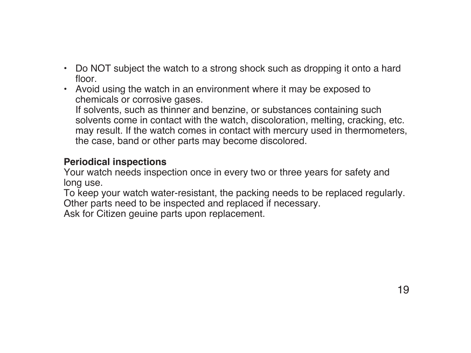- Do NOT subject the watch to a strong shock such as dropping it onto a hard floor.
- Avoid using the watch in an environment where it may be exposed to chemicals or corrosive gases.

If solvents, such as thinner and benzine, or substances containing such solvents come in contact with the watch, discoloration, melting, cracking, etc. may result. If the watch comes in contact with mercury used in thermometers, the case, band or other parts may become discolored.

#### **Periodical inspections**

Your watch needs inspection once in every two or three years for safety and long use.

To keep your watch water-resistant, the packing needs to be replaced regularly. Other parts need to be inspected and replaced if necessary.

Ask for Citizen geuine parts upon replacement.